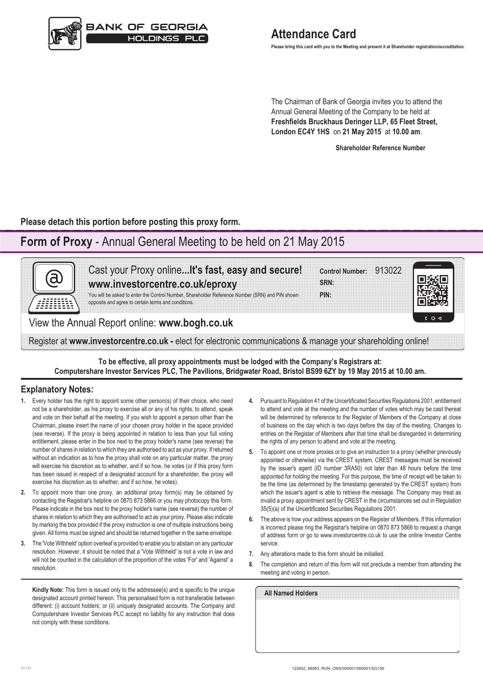

**Please bring this card with you to the Meeting and present it at Shareholder registration/accreditation.**

The Chairman of Bank of Georgia invites you to attend the Annual General Meeting of the Company to be held at **Freshfields Bruckhaus Deringer LLP, 65 Fleet Street, London EC4Y 1HS** on **21 May 2015** at **10.00 am**.

**Shareholder Reference Number**

**Please detach this portion before posting this proxy form.**

# **Form of Proxy** - Annual General Meeting to be held on 21 May 2015



**To be effective, all proxy appointments must be lodged with the Company's Registrars at: Computershare Investor Services PLC, The Pavilions, Bridgwater Road, Bristol BS99 6ZY by 19 May 2015 at 10.00 am.**

## **Explanatory Notes:**

- **1.** Every holder has the right to appoint some other person(s) of their choice, who need not be a shareholder, as his proxy to exercise all or any of his rights, to attend, speak and vote on their behalf at the meeting. If you wish to appoint a person other than the Chairman, please insert the name of your chosen proxy holder in the space provided (see reverse). If the proxy is being appointed in relation to less than your full voting entitlement, please enter in the box next to the proxy holder's name (see reverse) the number of shares in relation to which they are authorised to act as your proxy. If returned without an indication as to how the proxy shall vote on any particular matter, the proxy will exercise his discretion as to whether, and if so how, he votes (or if this proxy form has been issued in respect of a designated account for a shareholder, the proxy will exercise his discretion as to whether, and if so how, he votes).
- **2.** To appoint more than one proxy, an additional proxy form(s) may be obtained by contacting the Registrar's helpline on 0870 873 5866 or you may photocopy this form. Please indicate in the box next to the proxy holder's name (see reverse) the number of shares in relation to which they are authorised to act as your proxy. Please also indicate by marking the box provided if the proxy instruction is one of multiple instructions being given. All forms must be signed and should be returned together in the same envelope.
- **3.** The 'Vote Withheld' option overleaf is provided to enable you to abstain on any particular resolution. However, it should be noted that a 'Vote Withheld' is not a vote in law and will not be counted in the calculation of the proportion of the votes 'For' and 'Against' a resolution.

**Kindly Note:** This form is issued only to the addressee(s) and is specific to the unique designated account printed hereon. This personalised form is not transferable between different: (i) account holders; or (ii) uniquely designated accounts. The Company and Computershare Investor Services PLC accept no liability for any instruction that does not comply with these conditions.

- **4.** Pursuant to Regulation 41 of the Uncertificated Securities Regulations 2001, entitlement to attend and vote at the meeting and the number of votes which may be cast thereat will be determined by reference to the Register of Members of the Company at close of business on the day which is two days before the day of the meeting. Changes to entries on the Register of Members after that time shall be disregarded in determining the rights of any person to attend and vote at the meeting.
- **5.** To appoint one or more proxies or to give an instruction to a proxy (whether previously appointed or otherwise) via the CREST system, CREST messages must be received by the issuer's agent (ID number 3RA50) not later than 48 hours before the time appointed for holding the meeting. For this purpose, the time of receipt will be taken to be the time (as determined by the timestamp generated by the CREST system) from which the issuer's agent is able to retrieve the message. The Company may treat as invalid a proxy appointment sent by CREST in the circumstances set out in Regulation 35(5)(a) of the Uncertificated Securities Regulations 2001.
- **6.** The above is how your address appears on the Register of Members. If this information is incorrect please ring the Registrar's helpline on 0870 873 5866 to request a change of address form or go to www.investorcentre.co.uk to use the online Investor Centre service.
- **7.** Any alterations made to this form should be initialled.
- **8.** The completion and return of this form will not preclude a member from attending the meeting and voting in person.

| All Named Holders |  |  |  |
|-------------------|--|--|--|
|                   |  |  |  |
|                   |  |  |  |
|                   |  |  |  |
|                   |  |  |  |